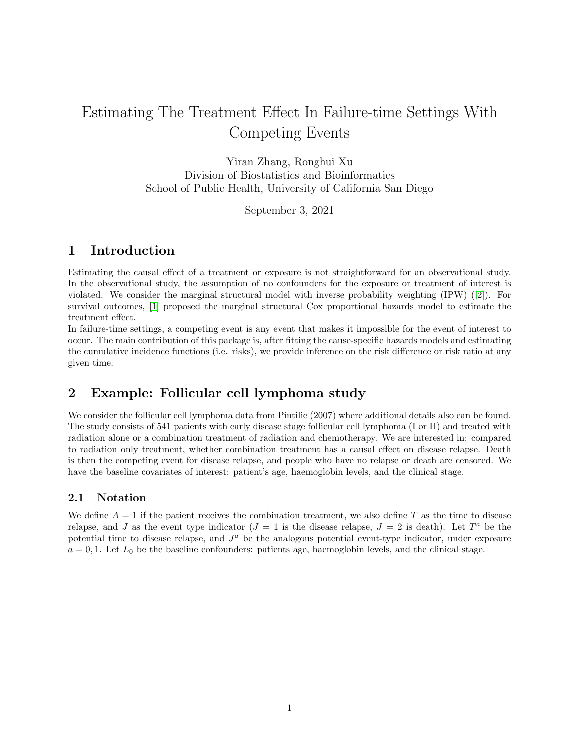# Estimating The Treatment Effect In Failure-time Settings With Competing Events

Yiran Zhang, Ronghui Xu Division of Biostatistics and Bioinformatics School of Public Health, University of California San Diego

September 3, 2021

# 1 Introduction

Estimating the causal effect of a treatment or exposure is not straightforward for an observational study. In the observational study, the assumption of no confounders for the exposure or treatment of interest is violated. We consider the marginal structural model with inverse probability weighting (IPW) ([\[2\]](#page-5-0)). For survival outcomes, [\[1\]](#page-5-1) proposed the marginal structural Cox proportional hazards model to estimate the treatment effect.

In failure-time settings, a competing event is any event that makes it impossible for the event of interest to occur. The main contribution of this package is, after fitting the cause-specific hazards models and estimating the cumulative incidence functions (i.e. risks), we provide inference on the risk difference or risk ratio at any given time.

# 2 Example: Follicular cell lymphoma study

We consider the follicular cell lymphoma data from Pintilie (2007) where additional details also can be found. The study consists of 541 patients with early disease stage follicular cell lymphoma (I or II) and treated with radiation alone or a combination treatment of radiation and chemotherapy. We are interested in: compared to radiation only treatment, whether combination treatment has a causal effect on disease relapse. Death is then the competing event for disease relapse, and people who have no relapse or death are censored. We have the baseline covariates of interest: patient's age, haemoglobin levels, and the clinical stage.

# 2.1 Notation

We define  $A = 1$  if the patient receives the combination treatment, we also define T as the time to disease relapse, and J as the event type indicator  $(J = 1$  is the disease relapse,  $J = 2$  is death). Let  $T^a$  be the potential time to disease relapse, and  $J<sup>a</sup>$  be the analogous potential event-type indicator, under exposure  $a = 0, 1$ . Let  $L_0$  be the baseline confounders: patients age, haemoglobin levels, and the clinical stage.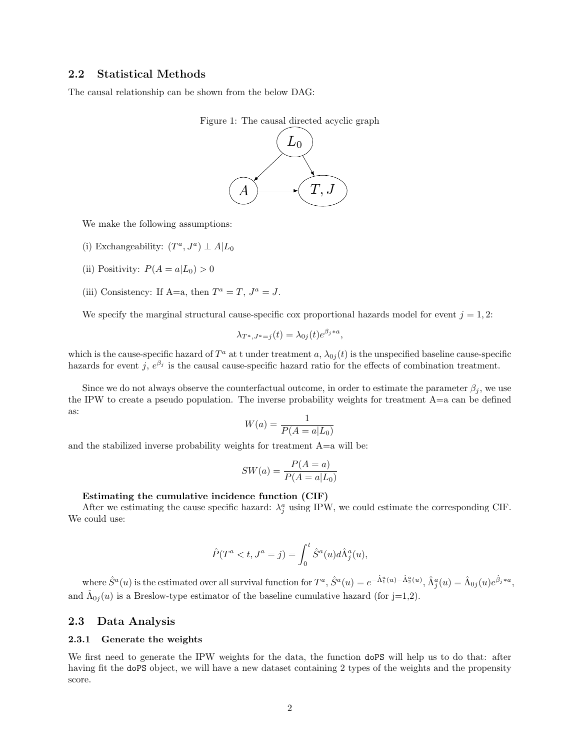## 2.2 Statistical Methods

The causal relationship can be shown from the below DAG:



We make the following assumptions:

- (i) Exchangeability:  $(T^a, J^a) \perp A | L_0$
- (ii) Positivity:  $P(A = a | L_0) > 0$
- (iii) Consistency: If A=a, then  $T^a = T$ ,  $J^a = J$ .

We specify the marginal structural cause-specific cox proportional hazards model for event  $j = 1, 2$ :

$$
\lambda_{T^a, J^a = j}(t) = \lambda_{0j}(t)e^{\beta_j * a},
$$

which is the cause-specific hazard of  $T^a$  at t under treatment a,  $\lambda_{0j}(t)$  is the unspecified baseline cause-specific hazards for event j,  $e^{\beta_j}$  is the causal cause-specific hazard ratio for the effects of combination treatment.

Since we do not always observe the counterfactual outcome, in order to estimate the parameter  $\beta_i$ , we use the IPW to create a pseudo population. The inverse probability weights for treatment  $A=a$  can be defined as:

$$
W(a) = \frac{1}{P(A = a|L_0)}
$$

and the stabilized inverse probability weights for treatment  $A=a$  will be:

$$
SW(a) = \frac{P(A=a)}{P(A=a|L_0)}
$$

#### Estimating the cumulative incidence function (CIF)

After we estimating the cause specific hazard:  $\lambda_j^a$  using IPW, we could estimate the corresponding CIF. We could use:

$$
\hat{P}(T^a < t, J^a = j) = \int_0^t \hat{S}^a(u) d\hat{\Lambda}^a_j(u),
$$

where  $\hat{S}^a(u)$  is the estimated over all survival function for  $T^a$ ,  $\hat{S}^a(u) = e^{-\hat{\Lambda}_1^a(u) - \hat{\Lambda}_2^a(u)}$ ,  $\hat{\Lambda}_j^a(u) = \hat{\Lambda}_{0j}(u)e^{\hat{\beta}_j * a}$ , and  $\hat{\Lambda}_{0j}(u)$  is a Breslow-type estimator of the baseline cumulative hazard (for j=1,2).

### 2.3 Data Analysis

#### 2.3.1 Generate the weights

We first need to generate the IPW weights for the data, the function doPS will help us to do that: after having fit the doPS object, we will have a new dataset containing 2 types of the weights and the propensity score.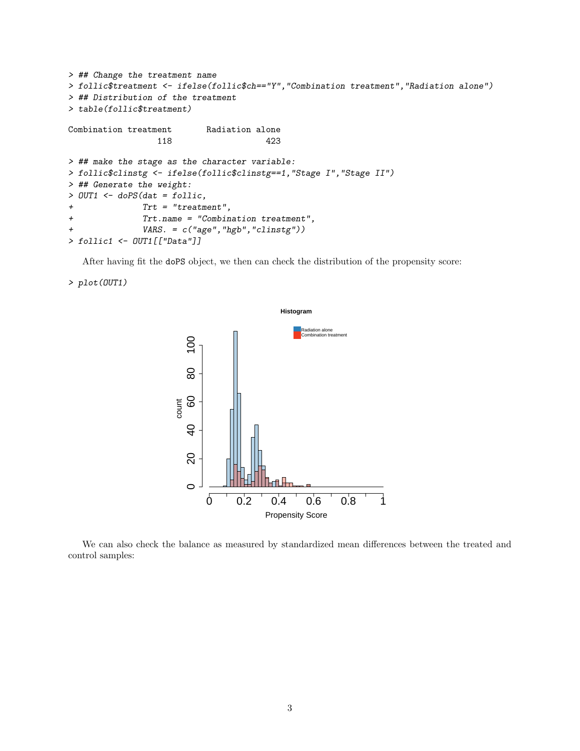```
> ## Change the treatment name
> follic$treatment <- ifelse(follic$ch=="Y","Combination treatment","Radiation alone")
> ## Distribution of the treatment
> table(follic$treatment)
Combination treatment Radiation alone
                118 423
> ## make the stage as the character variable:
> follic$clinstg <- ifelse(follic$clinstg==1,"Stage I","Stage II")
> ## Generate the weight:
> OUT1 <- doPS(dat = follic,
+ Trt = "treatment",
+ Trt.name = "Combination treatment",
+ VARS. = c("age","hgb","clinstg"))
> follic1 <- OUT1[["Data"]]
```
After having fit the doPS object, we then can check the distribution of the propensity score:

### > plot(OUT1)



We can also check the balance as measured by standardized mean differences between the treated and control samples: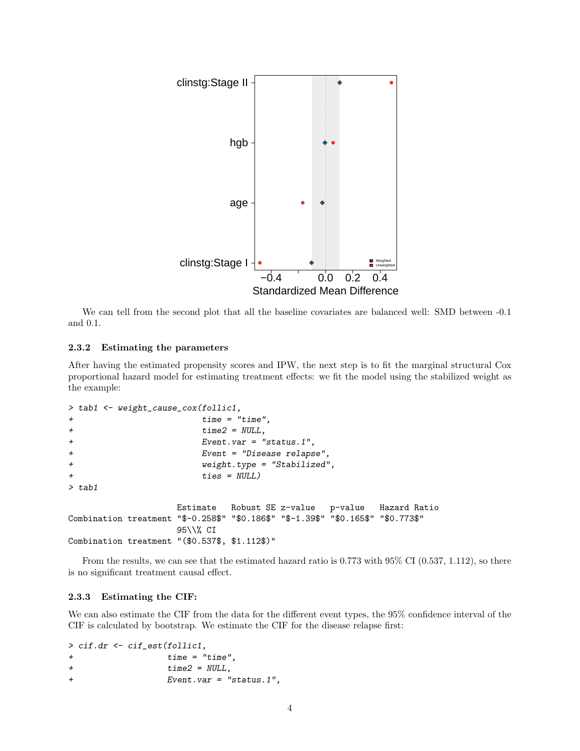

We can tell from the second plot that all the baseline covariates are balanced well: SMD between  $-0.1$ and 0.1.

### 2.3.2 Estimating the parameters

After having the estimated propensity scores and IPW, the next step is to fit the marginal structural Cox proportional hazard model for estimating treatment effects: we fit the model using the stabilized weight as the example:

```
> tab1 <- weight_cause_cox(follic1,
+ time = "time",
+ time2 = NULL,
+ Event.var = "status.1",
+ Event = "Disease relapse",
+ weight.type = "Stabilized",
+ ties = NULL)
> tab1
               Estimate Robust SE z-value p-value Hazard Ratio
Combination treatment "$-0.258$" "$0.186$" "$-1.39$" "$0.165$" "$0.773$"
               95\\% CI
Combination treatment "($0.537$, $1.112$)"
```
From the results, we can see that the estimated hazard ratio is 0.773 with 95% CI (0.537, 1.112), so there is no significant treatment causal effect.

### 2.3.3 Estimating the CIF:

We can also estimate the CIF from the data for the different event types, the 95% confidence interval of the CIF is calculated by bootstrap. We estimate the CIF for the disease relapse first:

> cif.dr <- cif\_est(follic1, + time = "time", + time2 = NULL, + Event.var = "status.1",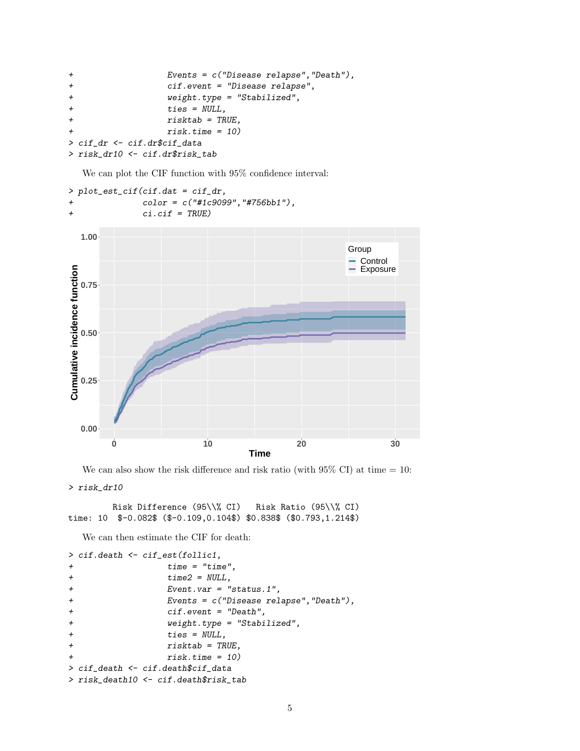```
+ Events = c("Disease relapse","Death"),
+ cif.event = "Disease relapse",
+ weight.type = "Stabilized",
+ ties = NULL,
+ risktab = TRUE,
+ risk.time = 10)
> cif_dr <- cif.dr$cif_data
> risk_dr10 <- cif.dr$risk_tab
```
We can plot the CIF function with 95% confidence interval:

```
> plot_est_cif(cif.dat = cif_dr,
+ color = c("#1c9099","#756bb1"),
+ ci.cif = TRUE)
```


We can also show the risk difference and risk ratio (with  $95\%$  CI) at time  $= 10$ :

```
> risk_dr10
```

```
Risk Difference (95\\% CI) Risk Ratio (95\\% CI)
time: 10 $-0.082$ ($-0.109,0.104$) $0.838$ ($0.793,1.214$)
```
We can then estimate the CIF for death:

```
> cif.death <- cif_est(follic1,
+ time = "time",
+ time2 = NULL,
+ Event.var = "status.1",
+ Events = c("Disease relapse","Death"),
+ cif.event = "Death",
+ weight.type = "Stabilized",
+ ties = NULL,
+ risktab = TRUE,
+ risk.time = 10)
> cif_death <- cif.death$cif_data
> risk_death10 <- cif.death$risk_tab
```